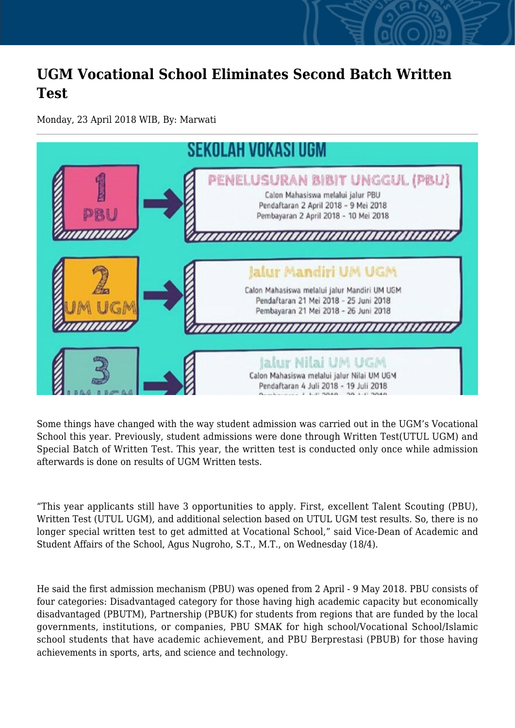## **UGM Vocational School Eliminates Second Batch Written Test**

Monday, 23 April 2018 WIB, By: Marwati



Some things have changed with the way student admission was carried out in the UGM's Vocational School this year. Previously, student admissions were done through Written Test(UTUL UGM) and Special Batch of Written Test. This year, the written test is conducted only once while admission afterwards is done on results of UGM Written tests.

"This year applicants still have 3 opportunities to apply. First, excellent Talent Scouting (PBU), Written Test (UTUL UGM), and additional selection based on UTUL UGM test results. So, there is no longer special written test to get admitted at Vocational School," said Vice-Dean of Academic and Student Affairs of the School, Agus Nugroho, S.T., M.T., on Wednesday (18/4).

He said the first admission mechanism (PBU) was opened from 2 April - 9 May 2018. PBU consists of four categories: Disadvantaged category for those having high academic capacity but economically disadvantaged (PBUTM), Partnership (PBUK) for students from regions that are funded by the local governments, institutions, or companies, PBU SMAK for high school/Vocational School/Islamic school students that have academic achievement, and PBU Berprestasi (PBUB) for those having achievements in sports, arts, and science and technology.